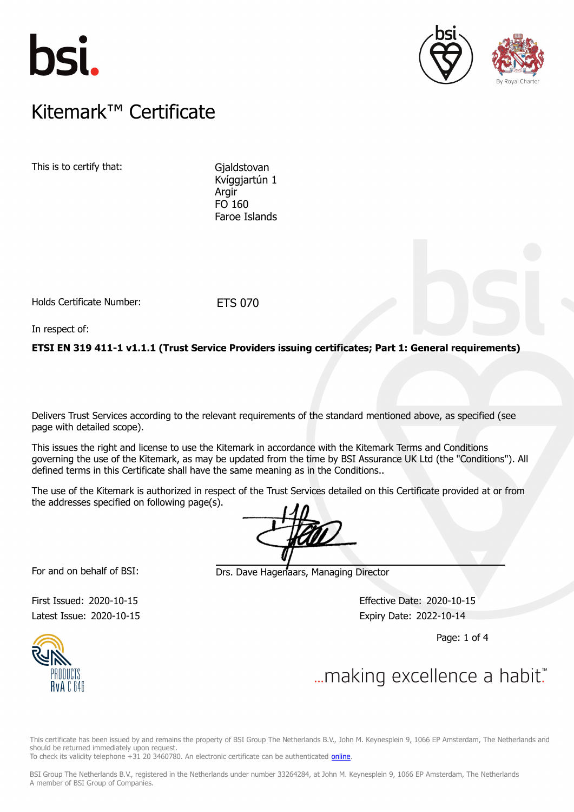





### $K$ itemark $W$  Certificate Kitemark™ Certificate

This is to certify that: Gjaldstovan

Kvíggjartún 1 Argir FO 160 Faroe Islands

Holds Certificate Number: ETS 070

In respect of:

**ETSI EN 319 411-1 v1.1.1 (Trust Service Providers issuing certificates; Part 1: General requirements)**

Delivers Trust Services according to the relevant requirements of the standard mentioned above, as specified (see page with detailed scope).

This issues the right and license to use the Kitemark in accordance with the Kitemark Terms and Conditions governing the use of the Kitemark, as may be updated from the time by BSI Assurance UK Ltd (the "Conditions"). All defined terms in this Certificate shall have the same meaning as in the Conditions..

The use of the Kitemark is authorized in respect of the Trust Services detailed on this Certificate provided at or from the addresses specified on following page(s).

For and on behalf of BSI: Drs. Dave Hagenaars, Managing Director

Latest Issue: 2020-10-15 **Expiry Date: 2022-10-14** 

First Issued: 2020-10-15 Effective Date: 2020-10-15

Page: 1 of 4



This certificate has been issued by and remains the property of BSI Group The Netherlands B.V., John M. Keynesplein 9, 1066 EP Amsterdam, The Netherlands and should be returned immediately upon request.

To check its validity telephone +31 20 3460780. An electronic certificate can be authenticated *online*.

BSI Group The Netherlands B.V., registered in the Netherlands under number 33264284, at John M. Keynesplein 9, 1066 EP Amsterdam, The Netherlands A member of BSI Group of Companies.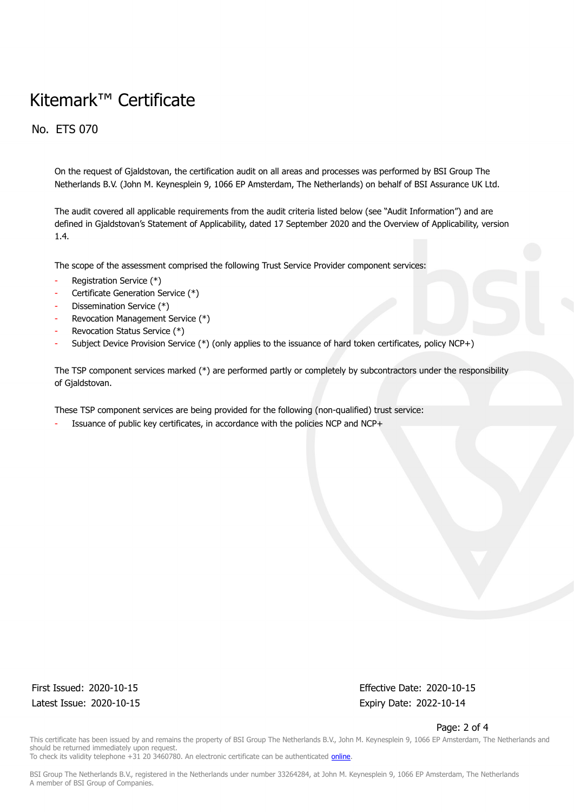# Kitemark™ Certificate

No. ETS 070

On the request of Gjaldstovan, the certification audit on all areas and processes was performed by BSI Group The Netherlands B.V. (John M. Keynesplein 9, 1066 EP Amsterdam, The Netherlands) on behalf of BSI Assurance UK Ltd.

The audit covered all applicable requirements from the audit criteria listed below (see "Audit Information") and are defined in Gjaldstovan's Statement of Applicability, dated 17 September 2020 and the Overview of Applicability, version 1.4.

The scope of the assessment comprised the following Trust Service Provider component services:

- Registration Service (\*)
- Certificate Generation Service (\*)
- Dissemination Service (\*)
- Revocation Management Service (\*)
- Revocation Status Service (\*)
- Subject Device Provision Service (\*) (only applies to the issuance of hard token certificates, policy NCP+)

The TSP component services marked (\*) are performed partly or completely by subcontractors under the responsibility of Gjaldstovan.

These TSP component services are being provided for the following (non-qualified) trust service:

Issuance of public key certificates, in accordance with the policies NCP and NCP+

Latest Issue: 2020-10-15 Expiry Date: 2022-10-14

First Issued: 2020-10-15 Effective Date: 2020-10-15

Page: 2 of 4

This certificate has been issued by and remains the property of BSI Group The Netherlands B.V., John M. Keynesplein 9, 1066 EP Amsterdam, The Netherlands and should be returned immediately upon request. To check its validity telephone +31 20 3460780. An electronic certificate can be authenticated *online*.

BSI Group The Netherlands B.V., registered in the Netherlands under number 33264284, at John M. Keynesplein 9, 1066 EP Amsterdam, The Netherlands A member of BSI Group of Companies.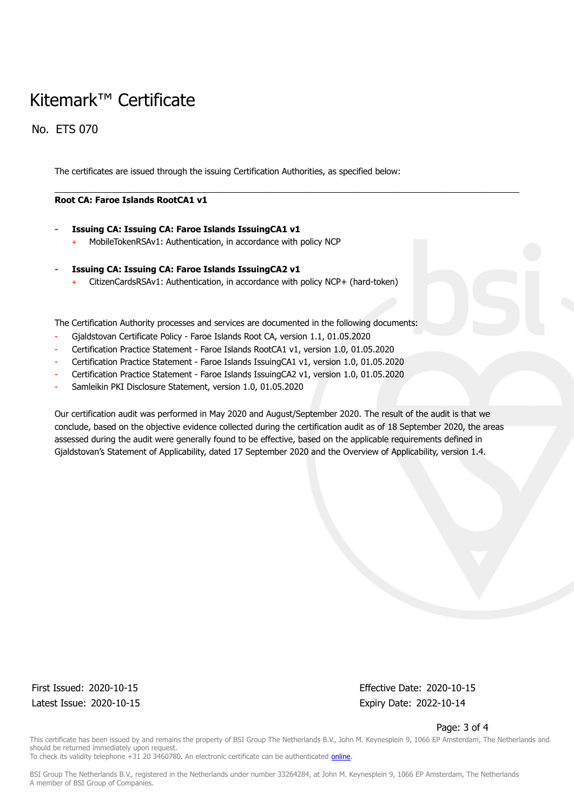# Kitemark™ Certificate

No. ETS 070

The certificates are issued through the issuing Certification Authorities, as specified below:

#### **Root CA: Faroe Islands RootCA1 v1**

- **- Issuing CA: Issuing CA: Faroe Islands IssuingCA1 v1**
	- MobileTokenRSAv1: Authentication, in accordance with policy NCP
- **- Issuing CA: Issuing CA: Faroe Islands IssuingCA2 v1**
	- + CitizenCardsRSAv1: Authentication, in accordance with policy NCP+ (hard-token)

The Certification Authority processes and services are documented in the following documents:

- Gjaldstovan Certificate Policy Faroe Islands Root CA, version 1.1, 01.05.2020
- Certification Practice Statement Faroe Islands RootCA1 v1, version 1.0, 01.05.2020
- Certification Practice Statement Faroe Islands IssuingCA1 v1, version 1.0, 01.05.2020
- Certification Practice Statement Faroe Islands IssuingCA2 v1, version 1.0, 01.05.2020
- Samleikin PKI Disclosure Statement, version 1.0, 01.05.2020

Our certification audit was performed in May 2020 and August/September 2020. The result of the audit is that we conclude, based on the objective evidence collected during the certification audit as of 18 September 2020, the areas assessed during the audit were generally found to be effective, based on the applicable requirements defined in Gialdstovan's Statement of Applicability, dated 17 September 2020 and the Overview of Applicability, version 1.4.

Latest Issue: 2020-10-15 Expiry Date: 2022-10-14

First Issued: 2020-10-15 Effective Date: 2020-10-15

Page: 3 of 4

This certificate has been issued by and remains the property of BSI Group The Netherlands B.V., John M. Keynesplein 9, 1066 EP Amsterdam, The Netherlands and should be returned immediately upon request. To check its validity telephone +31 20 3460780. An electronic certificate can be authenticated [online.](https://pgplus.bsigroup.com/CertificateValidation/CertificateValidator.aspx?CertificateNumber=ETS+070&ReIssueDate=15%2f10%2f2020&Template=uk)

BSI Group The Netherlands B.V., registered in the Netherlands under number 33264284, at John M. Keynesplein 9, 1066 EP Amsterdam, The Netherlands A member of BSI Group of Companies.